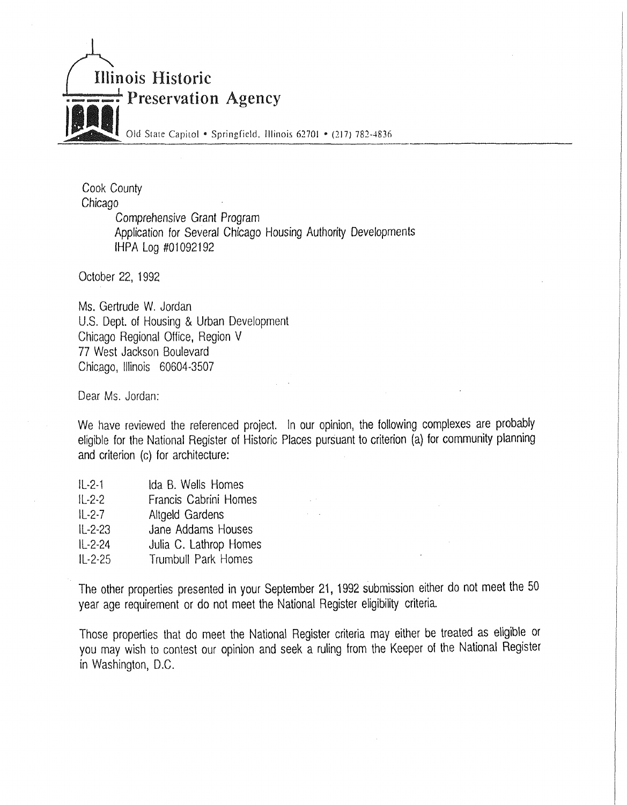

Cook County Chicago Comprehensive Grant Program Application for Several Chicago Housing Authority Developments IHPA Log #01092192

October 22, 1992

Ms. Gertrude W. Jordan U.S. Dept. of Housing & Urban Development Chicago Regional Office, Region V 77 West Jackson Boulevard Chicago, Illinois 60604-3507

Dear Ms. Jordan:

We have reviewed the referenced project. In our opinion, the following complexes are probably eligible for the National Register of Historic Places pursuant to criterion (a) for community planning and criterion (c) for architecture:

- IL-2-1 Ida B. Wells Homes
- IL-2-2 Francis Cabrini Homes
- IL-2-7 Altgeld Gardens
- IL-2-23 Jane Addams Houses
- IL-2-24 Julia C. Lathrop Homes
- IL-2-25 Trumbull Park Homes

The other properties presented in your September 21, 1992 submission either do not meet the 50 year age requirement or do not meet the National Register eligibility criteria.

Those properties that do meet the National Register criteria may either be treated as eligible or you may wish to contest our opinion and seek a ruling from the Keeper of the National Register in Washington, D.C.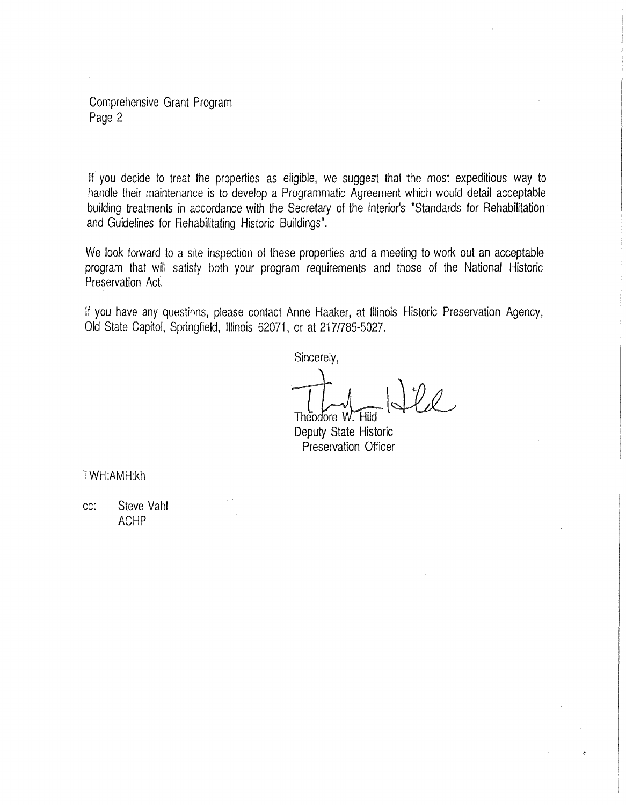Comprehensive Grant Program Page 2

If you decide to treat the properties as eligible, we suggest that 1he most expeditious way to handle their maintenance is to develop a Programmatic Agreement which would detail acceptable building treatments in accordance with the Secretary of the Interior's "Standards for Rehabilitation and Guidelines for Rehabilitating Historic Buildings".

We look forward to a site inspection of these properties and a meeting to work out an acceptable program that will satisfy both your program requirements and those of the National Historic Preservation Act.

If you have any questions, please contact Anne Haaker, at Illinois Historic Preservation Agency, Old State Capitol, Springfield, Illinois 62071, or at 217/785-5027.

Sincerely,

Theodore W. Hild

Deputy State Historic Preservation Officer

TWH:AMH:kh

cc: Steve Yahl ACHP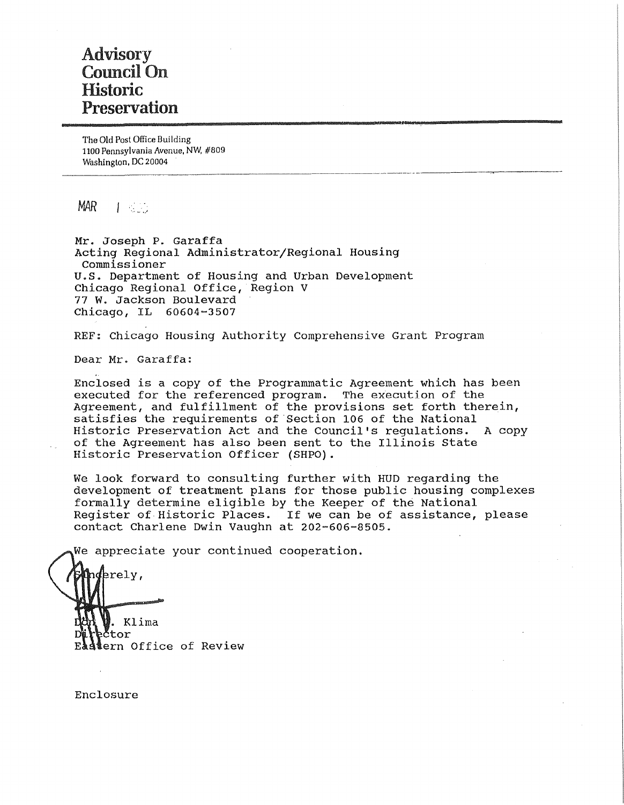# Advisory Council On Historic Preservation

The Old Post Office Building 1100 Pennsylvania Avenue, NW, #809 Washington, DC 20004

 $MAR$   $\qquad$   $\qquad$   $\qquad$   $\qquad$   $\qquad$   $\qquad$   $\qquad$   $\qquad$   $\qquad$   $\qquad$   $\qquad$   $\qquad$   $\qquad$   $\qquad$   $\qquad$   $\qquad$   $\qquad$   $\qquad$   $\qquad$   $\qquad$   $\qquad$   $\qquad$   $\qquad$   $\qquad$   $\qquad$   $\qquad$   $\qquad$   $\qquad$   $\qquad$   $\qquad$   $\qquad$   $\qquad$   $\qquad$   $\qquad$   $\qquad$   $\qquad$ 

Mr. Joseph P. Garaffa Acting Regional Administrator/Regional Housing Commissioner U.S. Department of Housing and Urban Development Chicago Regional Office, Region V 77 W. Jackson Boulevard **Chicago, IL 60604-3507** 

REF: Chicago Housing Authority Comprehensive Grant Program

Dear Mr. Garaffa:

Enclosed is a copy of the Programmatic Agreement which has been executed for the referenced program. The execution of the Agreement, and fulfillment of the provisions set forth therein, satisfies the requirements of Section 106 of the National Historic Preservation Act and the Council's regulations. A copy of the Agreement has also been sent to the Illinois state Historic Preservation Officer (SHPO).

----·- -----~-----

We look forward to consulting further with HUD regarding the development of treatment plans for those public housing complexes formally determine eligible by the Keeper of the National Register of Historic Places. If we can be of assistance, please contact Charlene Dwin Vaughn at 202-606-8505.

We appreciate your continued cooperation.

nderely, . Klima tor ern Office of Review

Enclosure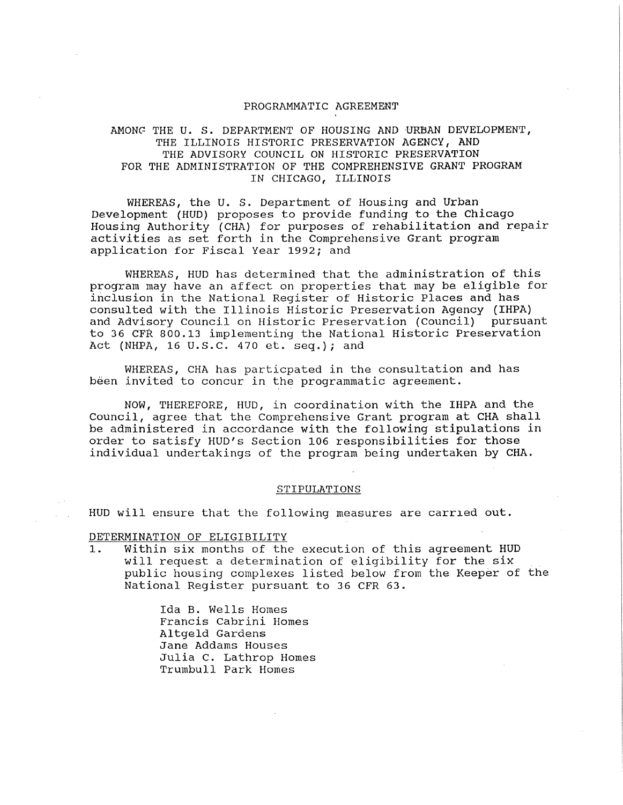### PROGRAMMATIC AGREEMENT

# AMONG THE U. S. DEPARTMENT OF HOUSING AND URBAN DEVELOPMENT, THE ILLINOIS HISTORIC PRESERVATION AGENCY, AND THE ADVISORY COUNCIL ON HISTORIC PRESERVATION FOR THE ADMINISTRATION OF THE COMPREHENSIVE GRANT PROGRAM IN CHICAGO, ILLINOIS

WHEREAS, the U. S. Department of Housing and Urban Development (HUD) proposes to provide funding to the Chicago Housing Authority (CHA) for purposes of rehabilitation and repair activities as set forth in the Comprehensive Grant program application for Fiscal Year 1992; and

WHEREAS, HUD has determined that the administration of this program may have an affect on properties that may be eligible for inclusion in the National Register of Historic Places and has consulted with the Illinois Historic Preservation Agency (IHPA) and Advisory Council on Historic Preservation (Council) pursuant to 36 CFR 800.13 implementing the National Historic Preservation Act (NHPA, 16 u.s.c. 470 et. seq.); and

WHEREAS, CHA has particpated in the consultation and has been invited to concur in the programmatic agreement.

NOW, THEREFORE, HUD, in coordination with the IHPA and the Council, agree that the Comprehensive Grant program at CHA shall be administered in accordance with the following stipulations in order to satisfy HUD's Section 106 responsibilities for those individual undertakings of the program being undertaken by CHA.

#### STIPULATIONS

HUD will ensure that the following measures are carried out.

DETERMINATION OF ELIGIBILITY

1. Within six months of the execution of this agreement HUD will request a determination of eligibility for the six public housing complexes listed below from the Keeper of the National Register pursuant to 36 CFR 63.

> Ida B. Wells Homes Francis Cabrini Homes Altgeld Gardens Jane Addams Houses Julia C. Lathrop Homes Trumbull Park Homes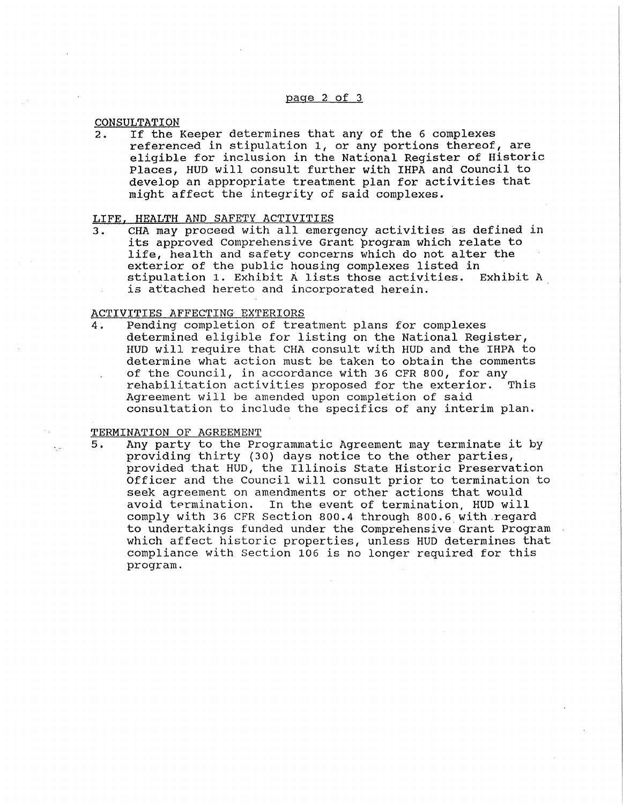**CONSULTATION** 

2. If the Keeper determines that any of the 6 complexes referenced in stipulation 1, or any portions thereof, are eligible for inclusion in the National Register of Historic Places, HUD will consult further with IHPA and Council to develop an appropriate treatment plan for activities that might affect the integrity of said complexes.

# LIFE, HEALTH AND SAFETY ACTIVITIES

3. CHA may proceed with all emergency activities as defined in its approved comprehensive Grant program which relate to life, health and safety concerns which do not alter the exterior of the public housing complexes listed in stipulation 1. Exhibit A lists those activities. Exhibit A is attached hereto and incorporated herein.

### ACTIVITIES AFFECTING EXTERIORS

4. Pending completion of treatment plans for complexes determined eligible for listing on the National Register, HUD will require that CHA consult with HUD and the IHPA to determine what action must be taken to obtain the comments of the Council, in accordance with 36 CFR 800, for any<br>rehabilitation activities proposed for the exterior. This rehabilitation activities proposed for the exterior. Agreement will be amended upon completion of said consultation to include the specifics of any interim plan.

TERMINATION OF AGREEMENT

5. Any party to the Programmatic Agreement may terminate it by providing thirty (30) days notice to the other parties, provided that HUD, the Illinois State Historic Preservation Officer and the Council will consult prior to termination to seek agreement on amendments or other actions that would avoid termination. In the event of termination, HUD will comply with 36 CFR Section 800.4 through 800.6\_with.regard to undertakings funded under the Comprehensive Grant Program which affect historic properties, unless HUD determines that compliance with Section 106 is no longer required for this program.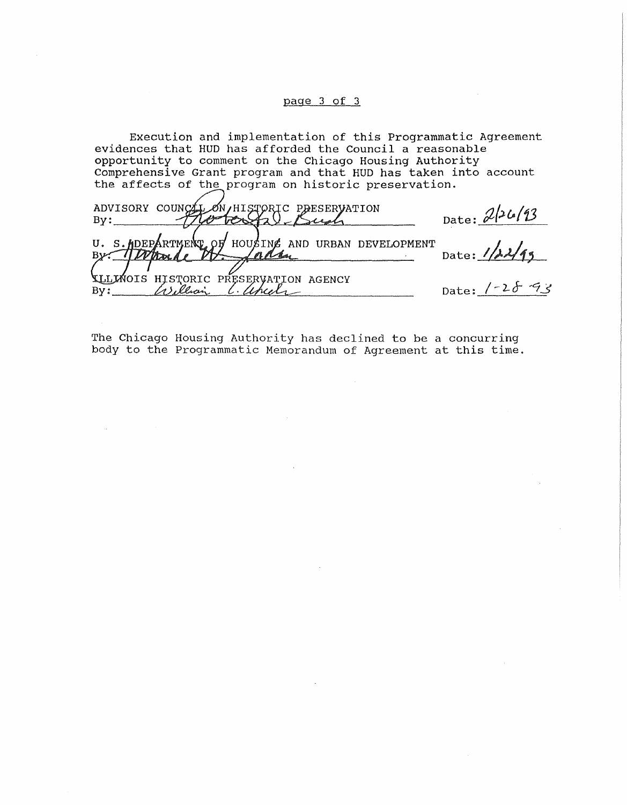# page 3 of 3

Execution and implementation of this Programmatic Agreement evidences that HUD has afforded the Council a reasonable opportunity to comment on the Chicago Housing Authority Comprehensive Grant program and that HUD has taken into account the affects of the program on historic preservation.

| ADVISORY COUNCEL ON HISTORIC PRESERVATION               | Date: $2/26/13$            |
|---------------------------------------------------------|----------------------------|
| U. S. ADEPARTMENT OF HOUSING AND URBAN DEVELOPMENT      | Date: $1/\lambda\lambda/4$ |
| TILIMOIS HISTORIC PRESERVATION AGENCY<br>$\mathbf{By:}$ | Date: $1 - 28 - 93$        |

The Chicago Housing Authority has declined to be a concurring body to the Programmatic Memorandum of Agreement at this time.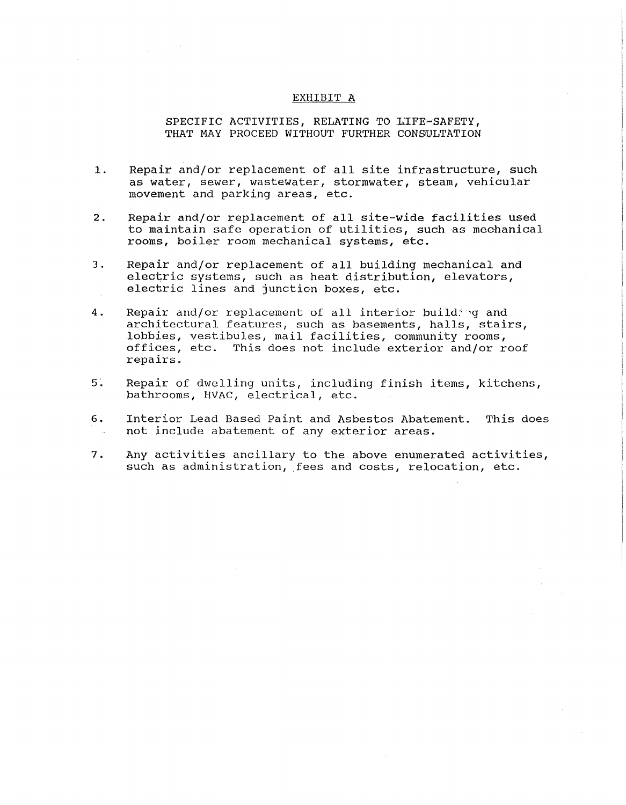### EXHIBIT A

# SPECIFIC ACTIVITIES, RELATING TO LIFE-SAFETY, THAT MAY PROCEED WITHOUT FURTHER CONSULTATION

- 1. Repair and/or replacement of all site infrastructure, such as water, sewer, wastewater, stormwater, steam, vehicular movement and parking areas, etc.
- 2. Repair and/or replacement of all site-wide facilities used to maintain safe operation of utilities, such as mechanical rooms, boiler room mechanical systems, etc.
- 3. Repair and/or replacement of all building mechanical and electric systems, such as heat distribution, elevators, electric lines and junction boxes, etc.
- 4. Repair and/or replacement of all interior building and architectural features, such as basements, halls, stairs, lobbies, vestibules, mail facilities, community rooms, offices, etc. This does not include exterior and/or roof repairs.
- 5. Repair of dwelling units, including finish items, kitchens, bathrooms, HVAC, electrical, etc.
- 6. Interior Lead Based Paint and Asbestos Abatement. This does not include abatement of any exterior areas.
- 7. Any activities ancillary to the above enumerated activities, such as administration, fees and costs, relocation, etc.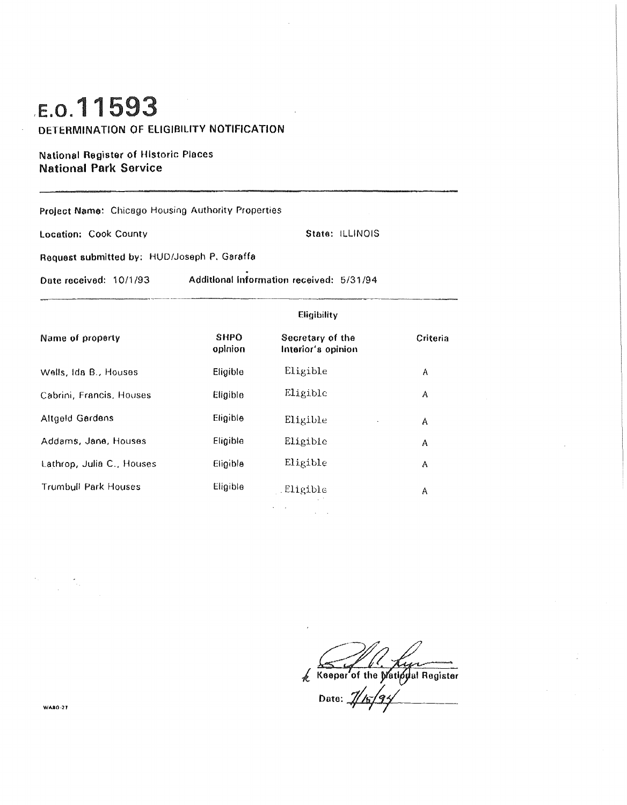# ,E.o.11593

DETERMINATION OF ELIGIBILITY NOTIFICATION

National Register of Historic Places National Park Service

Project Name: Chicago Housing Authority Properties Location: Cook County Request submitted by: HUD/Joseph P. Garaffa State: ILLINOIS Date received: 10/1 /93 Additional Information received: 5/31 /94 Name of property Wells, Ida B., Houses Cabrini, Francis. Houses Altgeld Gardens Addams, Jane, Houses Lathrop, Julia C., Houses Trumbull Park Houses SHPO opinion Eligible Eligible Eligible Eligible Eligible Eligible Eligibility Secretary of the Interior's opinion Eligible Eligible Eligible Eligible Eligible . Eligible Criteria A A A A A A

Keeper of the Matipual Register

Date:  $\mathcal{U}$ 

**WA80-27**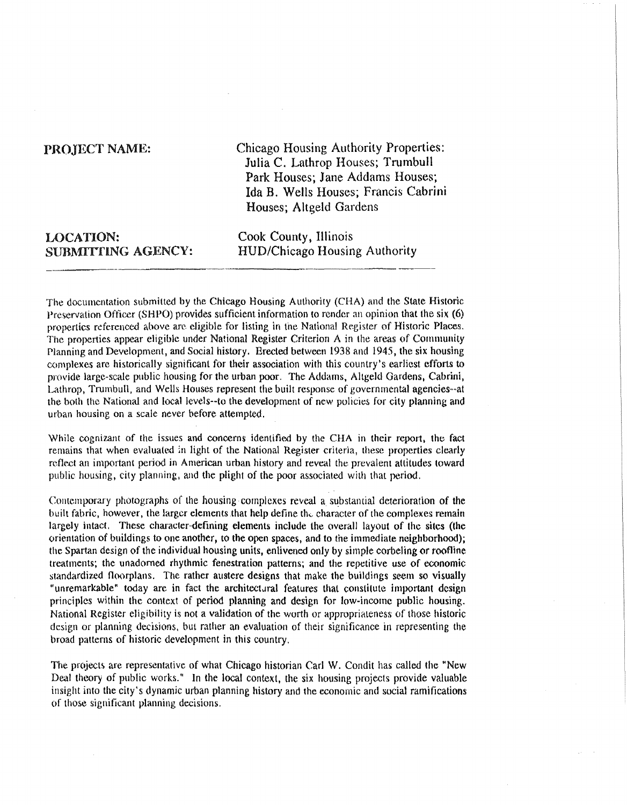# PROJECT NAME:

Chicago Housing Authority Properties: Julia C. Lathrop Houses; Trumbull Park Houses; Jane Addams Houses; Ida B. Wells Houses; Francis Cabrini Houses; Altgeld Gardens

| <b>LOCATION:</b>   | C |
|--------------------|---|
| SUBMITTING AGENCY: | H |

Cook County, Illinois HUD/Chicago Housing Authority

The documentation submitted by the Chicago Housing Authority (CHA) and the State Historic Preservation Officer (SHPO) provides sufficient information to render an opinion that the six (6) properties referenced above are eligible for listing in the National Register of Historic Places. The properties appear eligible under National Register Criterion A in the areas of Community Planning and Development, and Social history. Erected between 1938 and 1945, the six housing complexes are historically significant for their association with this country's earliest efforts to provide large-scale public housing for the urban poor. The Addams, Altgeld Gardens, Cabrini, Lathrop, Trumbull, and Wells Houses represent the built response of governmental agencies--at the both the National and local levels--to the development of new policies for city planning and urban housing on a scale never before attempted.

While cognizant of the issues and concerns identified by the CHA in their report, the fact remains that when evaluated in light of the National Register criteria, these properties clearly reflect an important period in American urban history and reveal the prevalent attitudes toward public housing, city planning, and the plight of the poor associated with that period.

Comemporary photographs of the housing complexes reveal a substantial deterioration of the built fabric, however, the larger elements that help define the character of the complexes remain largely intact. These character-defining elements include the overall layout of the sites (the orientation of buildings to one another, to the open spaces, and to the immediate neighborhood); the Spartan design of the individual housing units, enlivened only by simple corbeling or roofline treatments; the unadorned rhythmic fenestration patterns; and the repetitive use of economic standardized floorplans. The rather austere designs that make the buildings seem so visually "unremarkable" today are in fact the architectural features that constitute important design principles within the context of period planning and design for low-income public housing. National Register eligibility is not a validation of the worth or appropriateness of those historic design or planning decisions, but rather an evaluation of their significance in representing the broad patterns of historic development in this country.

The projects are representative of what Chicago historian Carl W. Condit has called the "New Deal theory of public works." In the local context, the six housing projects provide valuable insight into the city's dynamic urban planning history and the economic and social ramifications of those significant planning decisions.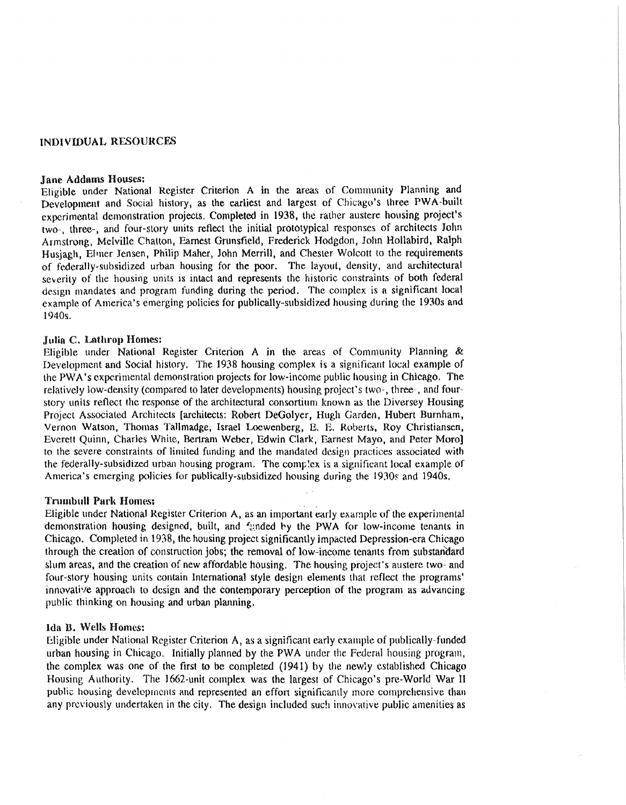# INDIVIDUAL RE.SOURCES

# Jane Addams Houses:

Eligible under National Register Criterion A in the areas of Community Planning and Development and Social history, as the earliest and largest of Chicago's lhree PWA-built experimental demonstration projects. Completed in 1938, the rather austere housing project's two-, three-, and four-slory units reflect the initial prototypical responses of architects John Armslrong, Melville Chalton, Earnest Grunsfield, Frederick Hodgdon, John Hollabird, Ralph Husjagh, Elrner Jensen, Philip Maher, John Merrill, and Chester Wolcott to the requirements of federally-subsidized urban housing for the poor. The layout, density, and architectural severity of the housing units is intact and represents the historic constraints of both federal design mandates and program funding during the period. The complex is a significant local example of America's emerging policies for publically-subsidized housing during the 1930s and 1940s.

# Julia C. Lathrop Homes:

Eligible under National Register Criterion A in the areas of Community Planning & Development and Social history. The 1938 housing complex is a significant local example of the PW A's experimental demonstration projects for low-income public housing in Chicago. The relatively low-density (compared to later developments) housing project's two-, three-, and fourstory units reflect the response of the architectural consortium known as the Diversey Housing Project Associated Architects (architects: Robert DeGolyer, Hugh Garden, Hubert Burnham, Vernon Watson, Thomas Tallmadge, Israel Loewenberg, E. E. Roberts, Roy Christiansen, Everett Quinn, Charles White, Bertram Weber, Edwin Clark, Earnest Mayo, and Peter Moro] to the severe constraints of limited funding and the mandated design practices associated with the federally-subsidized urban housing program. The complex is a significant local example of America's emerging policies for publically-subsidized housing during the 1930s and 1940s.

# **Trumbull Park Homes:**

Eligible under National Register Criterion A, as an important early example of the experimental demonstration housing designed, built, and funded by the PWA for low-income tenants in Chicago. Completed in 1938, the housing project significantly impacted Depression-era Chicago through the creation of construction jobs; the removal of low-income tenants from substandard slum areas, and the creation of new affordable housing. The housing project's austere two- and four-story housing units contain International style design elements that reflect the programs' innovative approach to design and the contemporary perception of the program as advancing public thinking on housing and urban planning.

# Ida B. Wells Homes:

Eligible under National Register Criterion  $A$ , as a significant early example of publically-funded. urban housing in Chicago. Initially planned by the PWA under the Federal housing program, the complex was one of the first to be completed (1941) by the newly established Chicago Housing Authority. The 1662-unit complex was the largest of Chicago's pre-World War II public housing developrncnts and represented an effort significantly more comprehensive than any previously undertaken in the city. The design included such innovative public amenities as